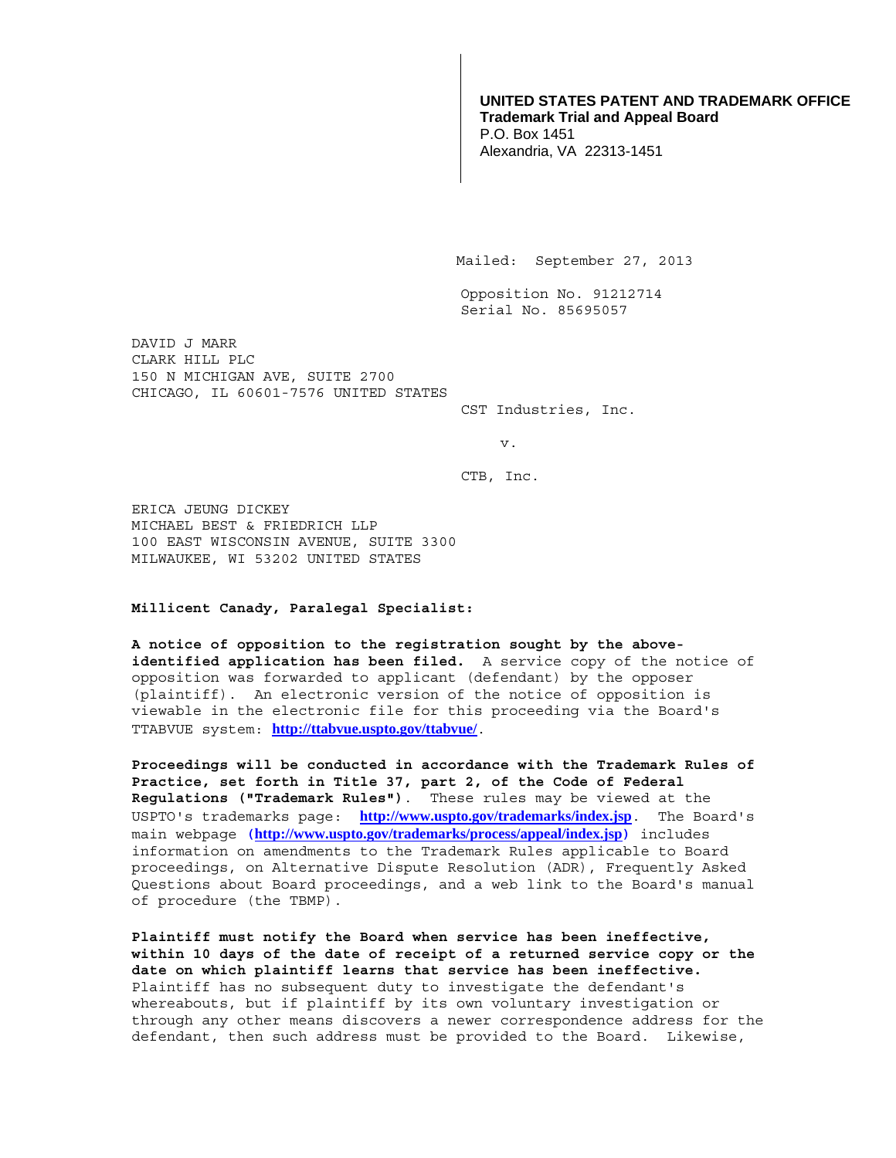## **UNITED STATES PATENT AND TRADEMARK OFFICE Trademark Trial and Appeal Board**  P.O. Box 1451 Alexandria, VA 22313-1451

Mailed: September 27, 2013

Opposition No. 91212714 Serial No. 85695057

DAVID J MARR CLARK HILL PLC 150 N MICHIGAN AVE, SUITE 2700 CHICAGO, IL 60601-7576 UNITED STATES

CST Industries, Inc.

v.

CTB, Inc.

ERICA JEUNG DICKEY MICHAEL BEST & FRIEDRICH LLP 100 EAST WISCONSIN AVENUE, SUITE 3300 MILWAUKEE, WI 53202 UNITED STATES

## **Millicent Canady, Paralegal Specialist:**

**A notice of opposition to the registration sought by the aboveidentified application has been filed.** A service copy of the notice of opposition was forwarded to applicant (defendant) by the opposer (plaintiff). An electronic version of the notice of opposition is viewable in the electronic file for this proceeding via the Board's TTABVUE system: **http://ttabvue.uspto.gov/ttabvue/**.

**Proceedings will be conducted in accordance with the Trademark Rules of Practice, set forth in Title 37, part 2, of the Code of Federal Regulations ("Trademark Rules")**.These rules may be viewed at the USPTO's trademarks page: **http://www.uspto.gov/trademarks/index.jsp**. The Board's main webpage **(http://www.uspto.gov/trademarks/process/appeal/index.jsp)** includes information on amendments to the Trademark Rules applicable to Board proceedings, on Alternative Dispute Resolution (ADR), Frequently Asked Questions about Board proceedings, and a web link to the Board's manual of procedure (the TBMP).

**Plaintiff must notify the Board when service has been ineffective, within 10 days of the date of receipt of a returned service copy or the date on which plaintiff learns that service has been ineffective.** Plaintiff has no subsequent duty to investigate the defendant's whereabouts, but if plaintiff by its own voluntary investigation or through any other means discovers a newer correspondence address for the defendant, then such address must be provided to the Board. Likewise,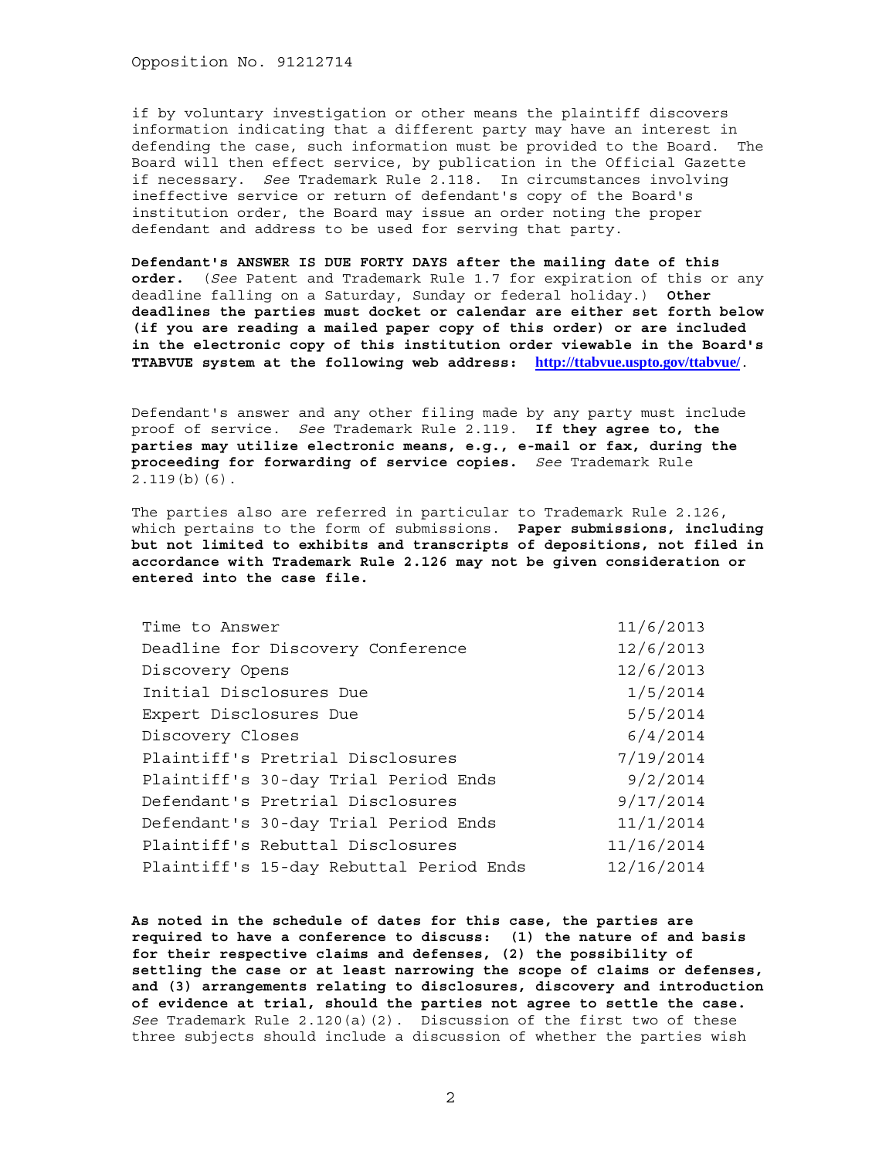Opposition No. 91212714

if by voluntary investigation or other means the plaintiff discovers information indicating that a different party may have an interest in defending the case, such information must be provided to the Board. The Board will then effect service, by publication in the Official Gazette if necessary. *See* Trademark Rule 2.118. In circumstances involving ineffective service or return of defendant's copy of the Board's institution order, the Board may issue an order noting the proper defendant and address to be used for serving that party.

**Defendant's ANSWER IS DUE FORTY DAYS after the mailing date of this order.** (*See* Patent and Trademark Rule 1.7 for expiration of this or any deadline falling on a Saturday, Sunday or federal holiday.) **Other deadlines the parties must docket or calendar are either set forth below (if you are reading a mailed paper copy of this order) or are included in the electronic copy of this institution order viewable in the Board's TTABVUE system at the following web address: http://ttabvue.uspto.gov/ttabvue/**.

Defendant's answer and any other filing made by any party must include proof of service. *See* Trademark Rule 2.119. **If they agree to, the parties may utilize electronic means, e.g., e-mail or fax, during the proceeding for forwarding of service copies.** *See* Trademark Rule 2.119(b)(6).

The parties also are referred in particular to Trademark Rule 2.126, which pertains to the form of submissions. **Paper submissions, including but not limited to exhibits and transcripts of depositions, not filed in accordance with Trademark Rule 2.126 may not be given consideration or entered into the case file.**

| Time to Answer                          | 11/6/2013  |
|-----------------------------------------|------------|
| Deadline for Discovery Conference       | 12/6/2013  |
| Discovery Opens                         | 12/6/2013  |
| Initial Disclosures Due                 | 1/5/2014   |
| Expert Disclosures Due                  | 5/5/2014   |
| Discovery Closes                        | 6/4/2014   |
| Plaintiff's Pretrial Disclosures        | 7/19/2014  |
| Plaintiff's 30-day Trial Period Ends    | 9/2/2014   |
| Defendant's Pretrial Disclosures        | 9/17/2014  |
| Defendant's 30-day Trial Period Ends    | 11/1/2014  |
| Plaintiff's Rebuttal Disclosures        | 11/16/2014 |
| Plaintiff's 15-day Rebuttal Period Ends | 12/16/2014 |

**As noted in the schedule of dates for this case, the parties are required to have a conference to discuss: (1) the nature of and basis for their respective claims and defenses, (2) the possibility of settling the case or at least narrowing the scope of claims or defenses, and (3) arrangements relating to disclosures, discovery and introduction of evidence at trial, should the parties not agree to settle the case.** *See* Trademark Rule 2.120(a)(2). Discussion of the first two of these three subjects should include a discussion of whether the parties wish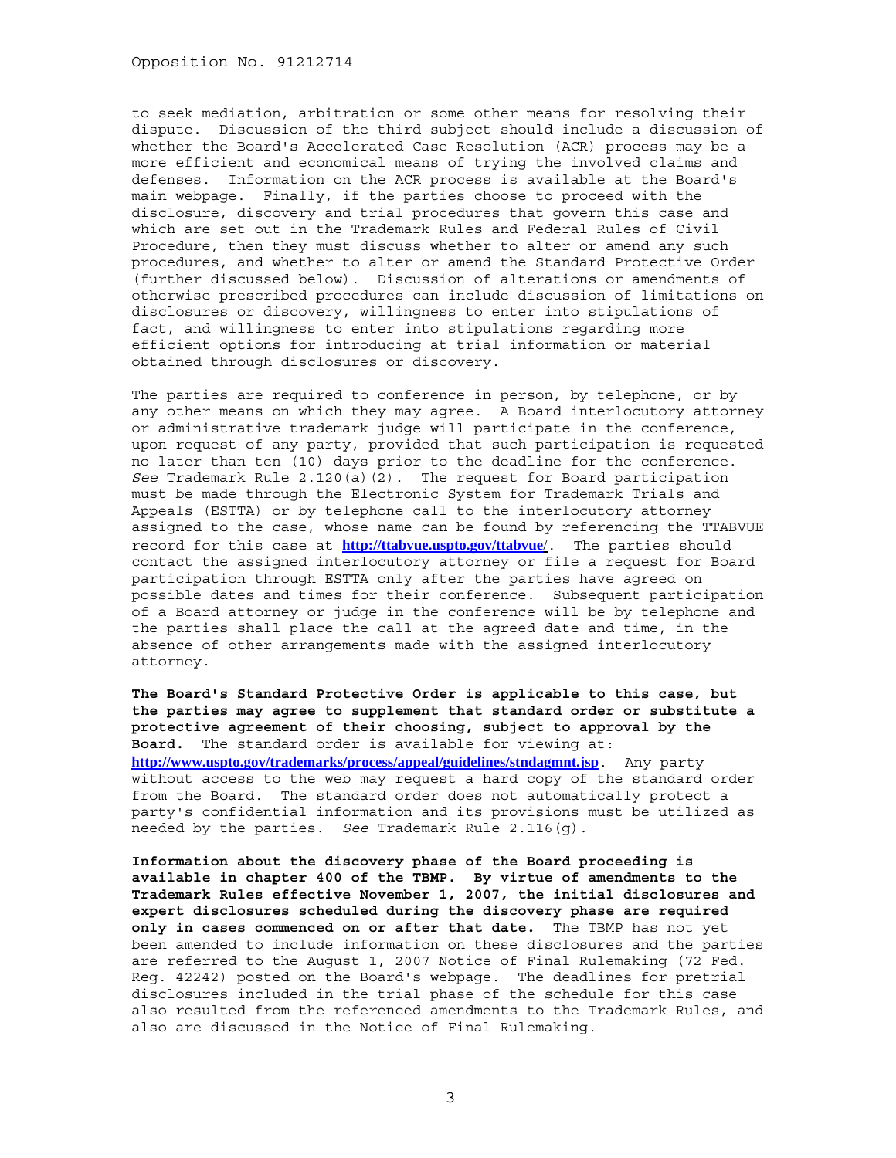Opposition No. 91212714

to seek mediation, arbitration or some other means for resolving their dispute. Discussion of the third subject should include a discussion of whether the Board's Accelerated Case Resolution (ACR) process may be a more efficient and economical means of trying the involved claims and defenses. Information on the ACR process is available at the Board's main webpage. Finally, if the parties choose to proceed with the disclosure, discovery and trial procedures that govern this case and which are set out in the Trademark Rules and Federal Rules of Civil Procedure, then they must discuss whether to alter or amend any such procedures, and whether to alter or amend the Standard Protective Order (further discussed below). Discussion of alterations or amendments of otherwise prescribed procedures can include discussion of limitations on disclosures or discovery, willingness to enter into stipulations of fact, and willingness to enter into stipulations regarding more efficient options for introducing at trial information or material obtained through disclosures or discovery.

The parties are required to conference in person, by telephone, or by any other means on which they may agree. A Board interlocutory attorney or administrative trademark judge will participate in the conference, upon request of any party, provided that such participation is requested no later than ten (10) days prior to the deadline for the conference. *See* Trademark Rule 2.120(a)(2). The request for Board participation must be made through the Electronic System for Trademark Trials and Appeals (ESTTA) or by telephone call to the interlocutory attorney assigned to the case, whose name can be found by referencing the TTABVUE record for this case at **http://ttabvue.uspto.gov/ttabvue**/. The parties should contact the assigned interlocutory attorney or file a request for Board participation through ESTTA only after the parties have agreed on possible dates and times for their conference. Subsequent participation of a Board attorney or judge in the conference will be by telephone and the parties shall place the call at the agreed date and time, in the absence of other arrangements made with the assigned interlocutory attorney.

**The Board's Standard Protective Order is applicable to this case, but the parties may agree to supplement that standard order or substitute a protective agreement of their choosing, subject to approval by the Board.** The standard order is available for viewing at: http://www.uspto.gov/trademarks/process/appeal/guidelines/stndagmnt.jsp. Any party without access to the web may request a hard copy of the standard order from the Board. The standard order does not automatically protect a party's confidential information and its provisions must be utilized as

needed by the parties. *See* Trademark Rule 2.116(g).

**Information about the discovery phase of the Board proceeding is available in chapter 400 of the TBMP. By virtue of amendments to the Trademark Rules effective November 1, 2007, the initial disclosures and expert disclosures scheduled during the discovery phase are required only in cases commenced on or after that date.** The TBMP has not yet been amended to include information on these disclosures and the parties are referred to the August 1, 2007 Notice of Final Rulemaking (72 Fed. Reg. 42242) posted on the Board's webpage. The deadlines for pretrial disclosures included in the trial phase of the schedule for this case also resulted from the referenced amendments to the Trademark Rules, and also are discussed in the Notice of Final Rulemaking.